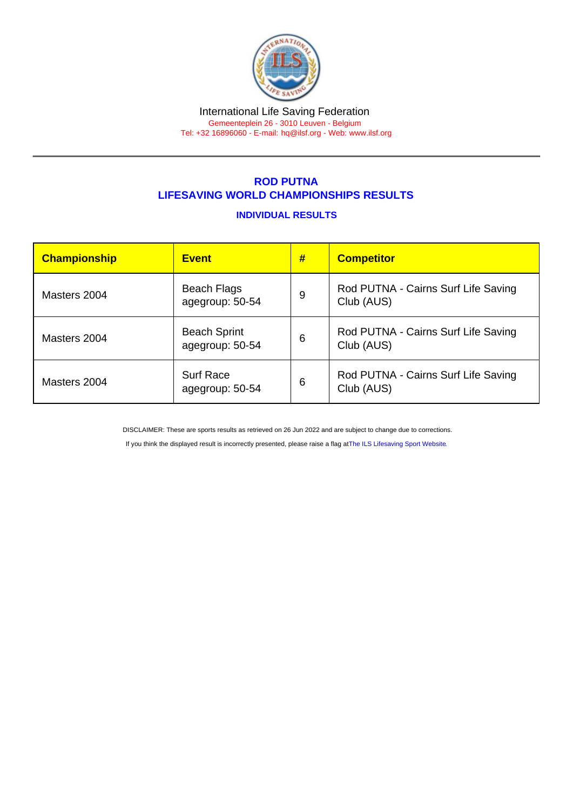# International Life Saving Federation

Gemeenteplein 26 - 3010 Leuven - Belgium Tel: +32 16896060 - E-mail: [hq@ilsf.org](mailto:hq@ilsf.org) - Web: [www.ilsf.org](https://www.ilsf.org)

## ROD PUTNA LIFESAVING WORLD CHAMPIONSHIPS RESULTS

### INDIVIDUAL RESULTS

| Championship | <b>Event</b>                           | # | <b>Competitor</b>                                 |  |
|--------------|----------------------------------------|---|---------------------------------------------------|--|
| Masters 2004 | Beach Flags<br>agegroup: 50-54         | 9 | Rod PUTNA - Cairns Surf Life Saving<br>Club (AUS) |  |
| Masters 2004 | <b>Beach Sprint</b><br>agegroup: 50-54 | 6 | Rod PUTNA - Cairns Surf Life Saving<br>Club (AUS) |  |
| Masters 2004 | <b>Surf Race</b><br>agegroup: 50-54    | 6 | Rod PUTNA - Cairns Surf Life Saving<br>Club (AUS) |  |

DISCLAIMER: These are sports results as retrieved on 26 Jun 2022 and are subject to change due to corrections.

If you think the displayed result is incorrectly presented, please raise a flag at [The ILS Lifesaving Sport Website.](https://sport.ilsf.org)